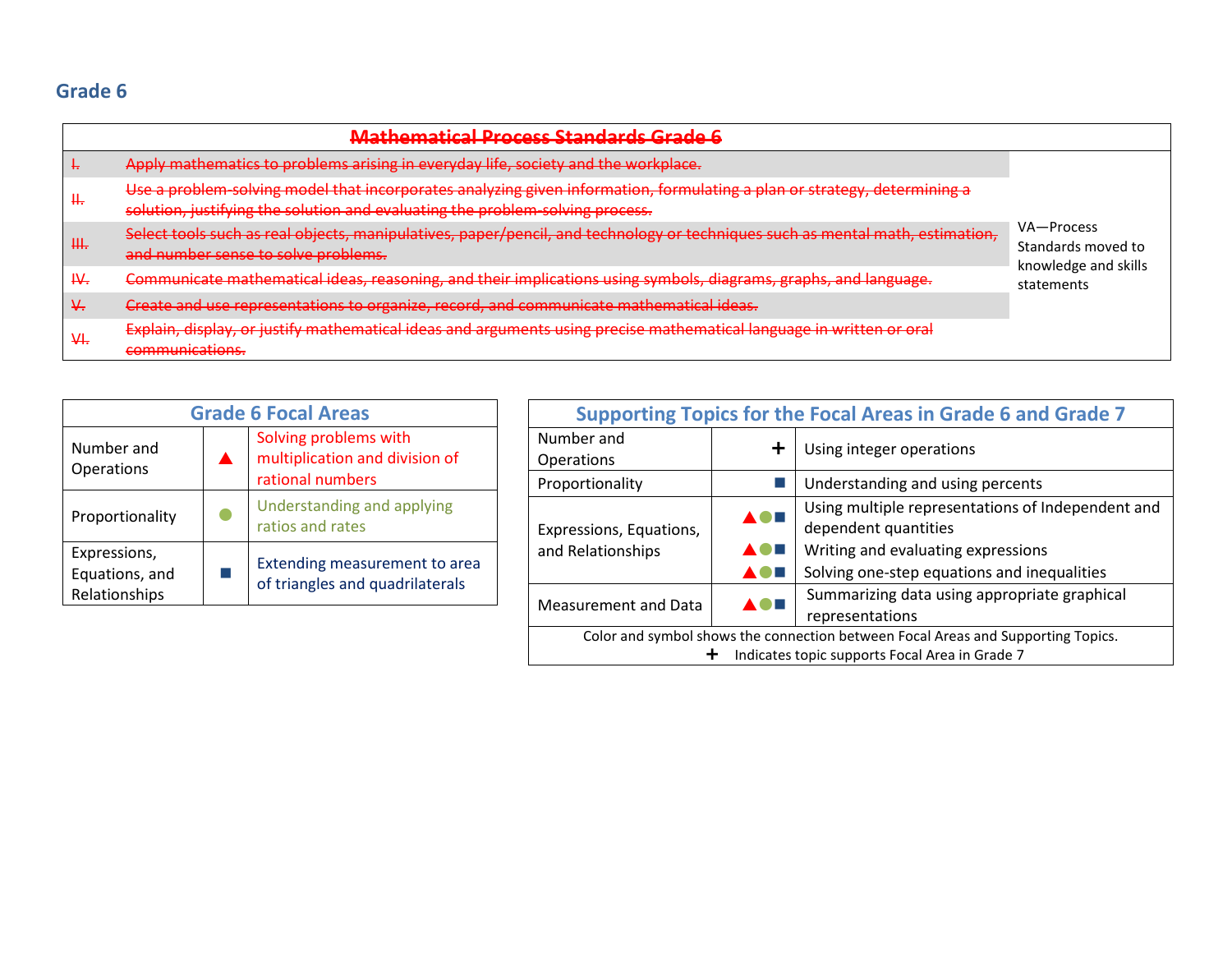## **Prepared by the State Board of Education (SBOE) TEKS Review Committees**

## **Final Recommendations, October 2011**

In 2010-2011 the Commissioner's Mathematics Advisory Group was convened to offer recommendations regarding the next generation of mathematics standards in Texas. *The Commissioner's Draft of the Texas Mathematics Standards* reflects the recommendations of the Commissioner's Mathematics Advisory Group and a panel of national advisors in mathematics. The SBOE-appointed mathematics TEKS review committees used *The Commissioner's Draft of the Texas Mathematics Standards* as a starting point for their recommendations for revisions to the TEKS.

These proposed revisions reflect the recommended changes of the committees to the standards in *The Commissioner's Draft of the Texas Mathematics Standards.* Proposed additions are shown in green font with underlines (additions) and proposed deletions are shown in red font with strikethroughs (deletions). Changes recommended based on a vertical alignment review are shown in brown font (additions or deletions).

Comments in the right-hand column provide explanations for the proposed changes. The following notations were used as part of the explanations:

**BSG**—information added, changed, or deleted based on broad-strokes guidance from the SBOE

**CRS**—information added or changed to align with the Texas College and Career Readiness Standards (CCRS)

**ER**—information added, changed, or deleted based on expert reviewer feedback

**IF**—information added, changed, or deleted based on informal feedback

**MV**—multiple viewpoints from within the committee

**SBOE**—information added, changed, or deleted based on SBOE feedback

**VA**—information added, changed, or deleted to increase vertical alignment

## **TABLE OF CONTENTS**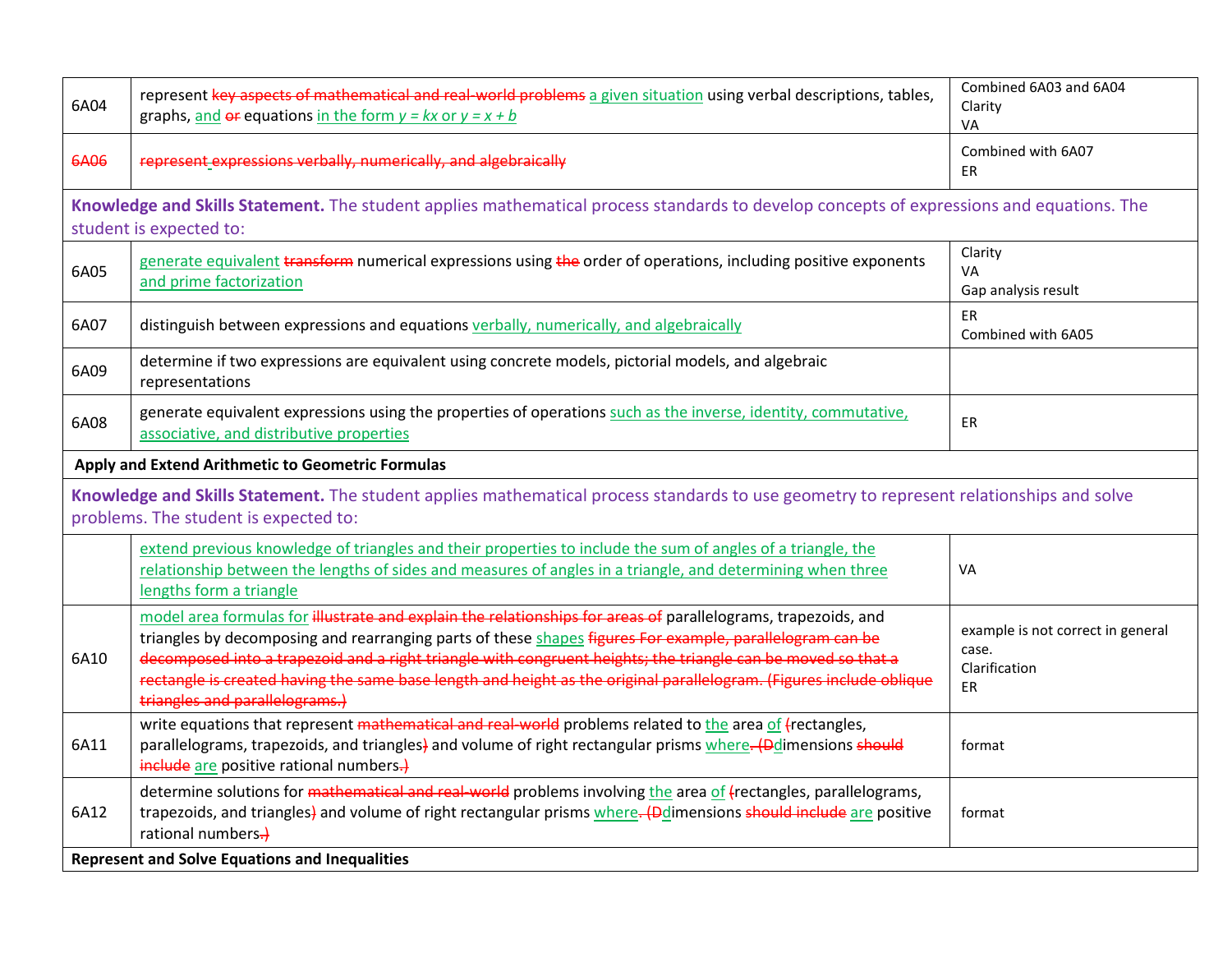| 6P03                                                                                                                                                                                          | give examples of rates as the comparison by division of two quantities having different attributes, including rates<br>as quotients, (e.g., 2 inches per 3 seconds is equivalent to 2/3 inches per second)                                                    | Format<br>Examples moved to PD                       |  |
|-----------------------------------------------------------------------------------------------------------------------------------------------------------------------------------------------|---------------------------------------------------------------------------------------------------------------------------------------------------------------------------------------------------------------------------------------------------------------|------------------------------------------------------|--|
|                                                                                                                                                                                               | represent ratios and percents with concrete models, fractions, and decimals                                                                                                                                                                                   | Vertical alignment                                   |  |
| 6P08                                                                                                                                                                                          | represent benchmark fractions and percents equivalents such as (1%, 10%, 25%, 33 1/3%, and multiples of these<br>values) using 10 x 10 grids, strip diagrams, number lines, and numbers                                                                       |                                                      |  |
| 6P09                                                                                                                                                                                          | generate <i>identify</i> equivalent forms of fractions, decimals, and percents using real world problems, including<br>problems that involve money                                                                                                            | SB 290                                               |  |
| Knowledge and Skills Statement. The student applies mathematical process standards to solve p<br>lving proportional relationships. The<br>blems i                                             |                                                                                                                                                                                                                                                               |                                                      |  |
| student is expected to:                                                                                                                                                                       |                                                                                                                                                                                                                                                               |                                                      |  |
| 6P04                                                                                                                                                                                          | represent mathematical and real world problems involving ratios and rates using.<br>ractors, tables, graphs,<br>proportions                                                                                                                                   |                                                      |  |
| 6P06                                                                                                                                                                                          | solve mathematical and real-world problems involving ratios and rates using scale<br>s. tables.<br>tors. u<br>graphs, and proportions                                                                                                                         | Covered in 7P04<br>$ER$ – reduce $6th$ grade content |  |
| 6P07                                                                                                                                                                                          | determine conversions within a measurement system, including<br>of proportiol<br>nd unit rates in<br>mathematical and real-world problems                                                                                                                     | Moved to 7 <sup>th</sup> grade                       |  |
| 6P10                                                                                                                                                                                          | solve determine solutions to real-world problems finding the wh<br><del>, given l</del><br>and the<br>reent; finding the part,<br>given the whole and the percent; and find<br>concrete and<br>ent <del>,</del> given t<br>ole us<br>part<br>pictorial models | student need foundation before<br>moving to abstract |  |
|                                                                                                                                                                                               | use equivalent fractions, decimals, an<br>f the same whole<br>ercents to<br>w equal par                                                                                                                                                                       | Readiness<br>VA                                      |  |
|                                                                                                                                                                                               |                                                                                                                                                                                                                                                               |                                                      |  |
| <b>Expressions, Equations and Relate</b><br>ship.<br><b>6A</b>                                                                                                                                |                                                                                                                                                                                                                                                               |                                                      |  |
| <b>Apply and Extend Arithn</b><br>$\boldsymbol{\mathsf{c}}$ to Expressions $\boldsymbol{\mathsf{v}}$<br>Equat                                                                                 |                                                                                                                                                                                                                                                               |                                                      |  |
| ent. The stud<br>t applies mathematical process standards to use multiple representations to describe algebraic<br><b>Knowledge and Skills Sta</b><br>relationships. The student<br>pected to |                                                                                                                                                                                                                                                               |                                                      |  |
| 6A01                                                                                                                                                                                          | hd<br>d dependent quantities from tables and graphs within a mathematical or real-<br>identify represent inde<br>world problem using va                                                                                                                       | VA                                                   |  |
| 6A02                                                                                                                                                                                          | write an equation that represents the relationship between independent and dependent quantities from a table<br>within a mathematical or real-world problem                                                                                                   | ER, IF, VA                                           |  |
| 6A03                                                                                                                                                                                          | represent mathematical and real-world problems with a rule equivalent to the form y=kx or y=x+b                                                                                                                                                               | Combined 6A03 and 6A04                               |  |